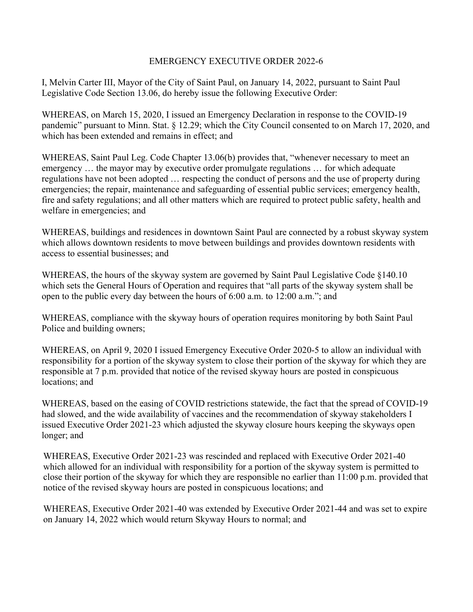## EMERGENCY EXECUTIVE ORDER 2022-6

I, Melvin Carter III, Mayor of the City of Saint Paul, on January 14, 2022, pursuant to Saint Paul Legislative Code Section 13.06, do hereby issue the following Executive Order:

WHEREAS, on March 15, 2020, I issued an Emergency Declaration in response to the COVID-19 pandemic" pursuant to Minn. Stat. § 12.29; which the City Council consented to on March 17, 2020, and which has been extended and remains in effect; and

WHEREAS, Saint Paul Leg. Code Chapter 13.06(b) provides that, "whenever necessary to meet an emergency … the mayor may by executive order promulgate regulations … for which adequate regulations have not been adopted … respecting the conduct of persons and the use of property during emergencies; the repair, maintenance and safeguarding of essential public services; emergency health, fire and safety regulations; and all other matters which are required to protect public safety, health and welfare in emergencies; and

WHEREAS, buildings and residences in downtown Saint Paul are connected by a robust skyway system which allows downtown residents to move between buildings and provides downtown residents with access to essential businesses; and

WHEREAS, the hours of the skyway system are governed by Saint Paul Legislative Code §140.10 which sets the General Hours of Operation and requires that "all parts of the skyway system shall be open to the public every day between the hours of 6:00 a.m. to 12:00 a.m."; and

WHEREAS, compliance with the skyway hours of operation requires monitoring by both Saint Paul Police and building owners;

WHEREAS, on April 9, 2020 I issued Emergency Executive Order 2020-5 to allow an individual with responsibility for a portion of the skyway system to close their portion of the skyway for which they are responsible at 7 p.m. provided that notice of the revised skyway hours are posted in conspicuous locations; and

WHEREAS, based on the easing of COVID restrictions statewide, the fact that the spread of COVID-19 had slowed, and the wide availability of vaccines and the recommendation of skyway stakeholders I issued Executive Order 2021-23 which adjusted the skyway closure hours keeping the skyways open longer; and

WHEREAS, Executive Order 2021-23 was rescinded and replaced with Executive Order 2021-40 which allowed for an individual with responsibility for a portion of the skyway system is permitted to close their portion of the skyway for which they are responsible no earlier than 11:00 p.m. provided that notice of the revised skyway hours are posted in conspicuous locations; and

WHEREAS, Executive Order 2021-40 was extended by Executive Order 2021-44 and was set to expire on January 14, 2022 which would return Skyway Hours to normal; and